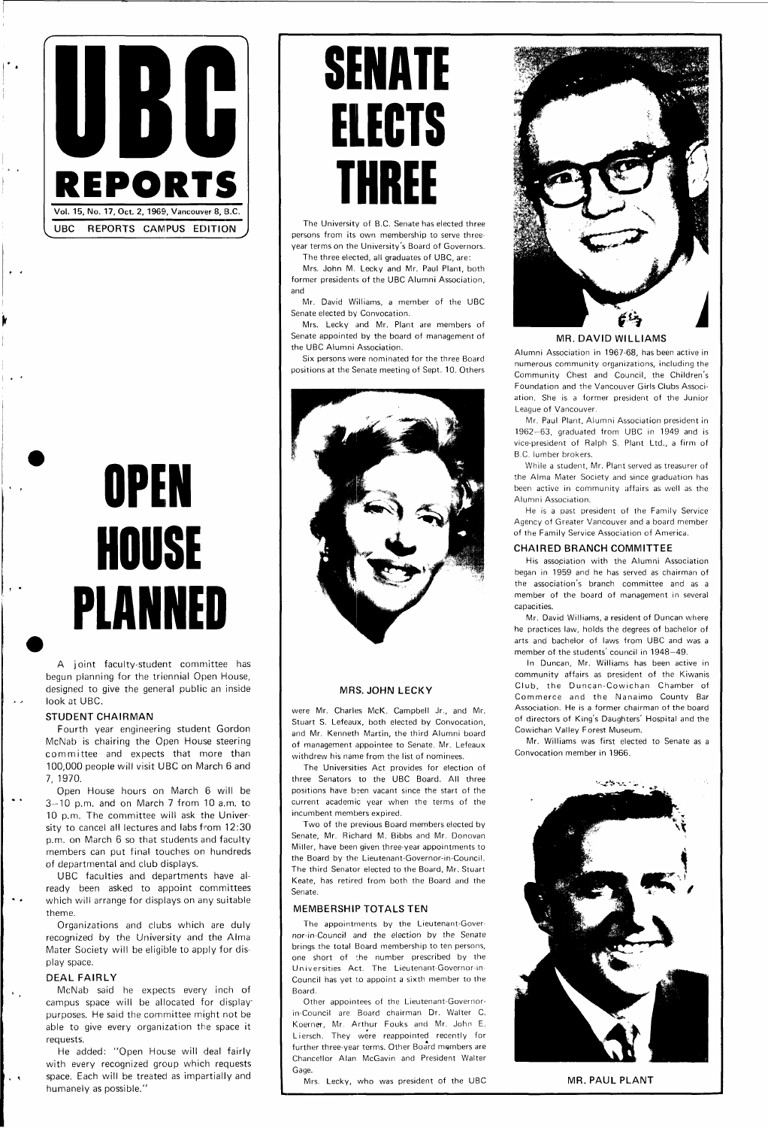

## **OPEN HOUSE PLANNED**

A joint faculty-student committee has begun planning for the triennial Open House, designed to give the general public an inside look at UBC.

#### **STUDENT CHAIRMAN**

Fourth year engineering student Gordon McNab is chairing the Open House steering committee and expects that more than 100,000 people will visit UBC on March 6 and 7, 1970.

Open House hours on March 6 will be 3—10 p.m. and on March 7 from 10 a.m. to 10 p.m. The committee will ask the University to cancel all lectures and labs from 12:30 p.m. on March 6 so that students and faculty members can put final touches on hundreds of departmental and club displays. UBC faculties and departments have already been asked to appoint committees which will arrange for displays on any suitable theme.

Organizations and clubs which are duly recognized by the University and the Alma Mater Society will be eligible to apply for display space.

#### **DEAL FAIRLY**

 $\mathbf{v}_{\rm{max}}$ 

 $\ddot{\phantom{0}}$ 

McNab said he expects every inch of campus space will be allocated for display purposes. He said the committee might not be able to give every organization the space it requests.

He added: "Open House will deal fairly with every recognized group which requests space. Each will be treated as impartially and humanely as possible."

## **SENATE ELECTS THREE**

The University of B.C. Senate has elected three persons from its own membership to serve threeyear terms on the University's Board of Governors.

The three elected, all graduates of UBC, are: Mrs. John M. Lecky and Mr. Paul Plant, both

former presidents of the UBC Alumni Association, and

Mr. David Williams, a member of the UBC Senate elected by Convocation.

Mrs. Lecky and Mr. Plant are members of Senate appointed by the board of management of the UBC Alumni Association.

Six persons were nominated for the three Board positions at the Senate meeting of Sept. 10. Others





### **MRS. JOHN LECKY**

were Mr. Charles McK. Campbell Jr., and Mr. Stuart S. Lefeaux, both elected by Convocation, and Mr. Kenneth Martin, the third Alumni board of management appointee to Senate. Mr. Lefeaux withdrew his name from the list of nominees.

The Universities Act provides for election of three Senators to the UBC Board. All three positions have been vacant since the start of the current academic year when the terms of the incumbent members expired.

Two of the previous Board members elected by Senate, Mr. Richard M. Bibbs and Mr. Donovan Miller, have been given three-year appointments to

the Board by the Lieutenant-Governor-in-Council. The third Senator elected to the Board, Mr. Stuart Keate, has retired from both the Board and the Senate.

#### **MEMBERSHIP TOTALS TEN**

The appointments by the Lieutenant-Governor-in-Council and the election by the Senate brings the total Board membership to ten persons, one short of the number prescribed by the Universities Act. The Lieutenant-Governor-m-Council has yet to appoint a sixth member to the Board.

Other appointees of the Lieutenant-Governorin-Council are Board chairman Dr. Walter C. Koerner, Mr. Arthur Fouks and Mr. John E. Liersch. They were reappointed recently for further three-year terms. Other Board members are Chancellor Alan McGavin and President Walter Gage.

Mrs. Lecky, who was president of the UBC

**MR. DAVID WILLIAMS** 

Alumni Association in 1967-68, has been active in numerous community organizations, including the Community Chest and Council, the Children's Foundation and the Vancouver Girls Clubs Association. She is a former president of the Junior League of Vancouver.

Mr. Paul Plant, Alumni Association president in 1962-63, graduated from UBC in 1949 and is vice-president of Ralph S. Plant Ltd., a firm of B.C. lumber brokers.

While a student, Mr. Plant served as treasurer of the Alma Mater Society and since graduation has been active in community affairs as well as the Alumni Association.

He is a past president of the Family Service Agency of Greater Vancouver and a board member of the Family Service Association of America.

### **CHAIRED BRANCH COMMITTEE**

His association with the Alumni Association began in 1959 and he has served as chairman of the association's branch committee and as a member of the board of management in several capacities.

Mr. David Williams, a resident of Duncan where he practices law, holds the degrees of bachelor of arts and bachelor of laws from UBC and was a member of the students' council in 1948—49.

In Duncan, Mr. Williams has been active in community affairs as president of the Kiwanis Club, the Duncan-Cowichan Chamber of Commerce and the Nanaimo County Bar Association. He is a former chairman of the board of directors of King's Daughters' Hospital and the Cowichan Valley Forest Museum.

Mr. Williams was first elected to Senate as a Convocation member in 1966.



**MR. PAUL PLANT**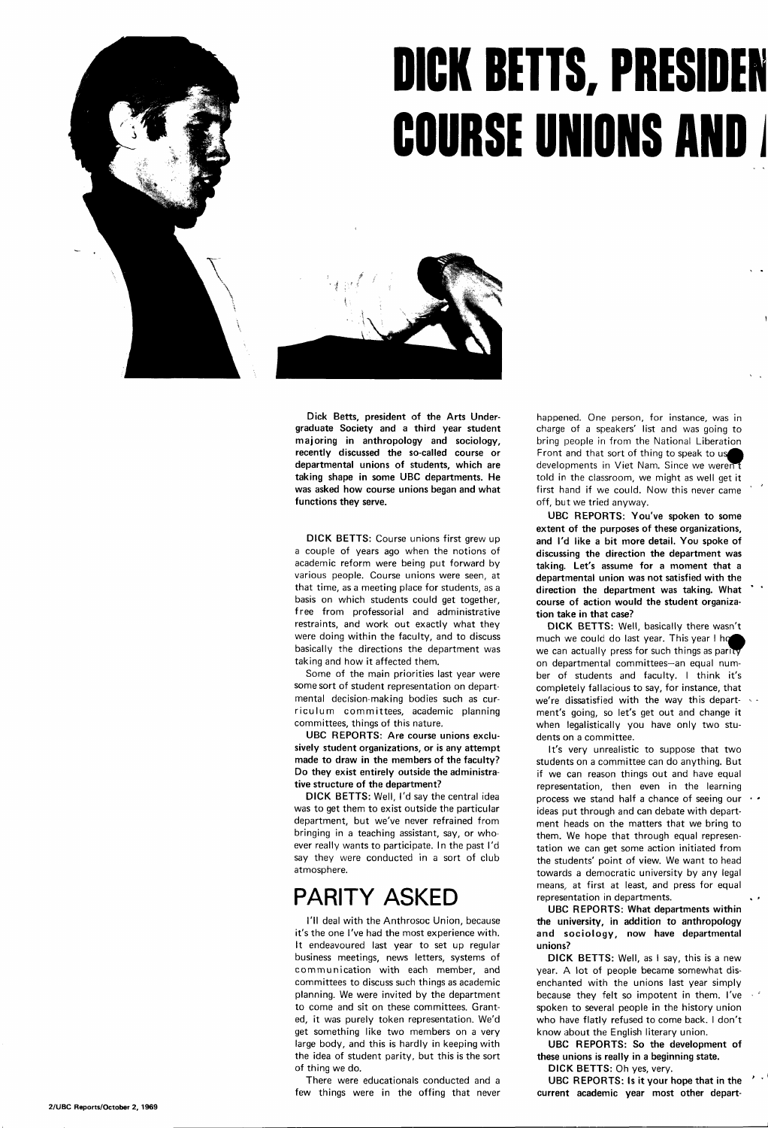# **DICK BETTS, PRESIDEN COURSE UNIONS AND**



**Dick Betts, president of the Arts Undergraduate Society and a third year student majoring in anthropology and sociology, recently discussed the so-called course or departmental unions of students, which are taking shape in some UBC departments. He was asked how course unions began and what functions they serve.** 

**DICK BETTS:** Course unions first grew up a couple of years ago when the notions of academic reform were being put forward by various people. Course unions were seen, at that time, as a meeting place for students, as a basis on which students could get together, free from professorial and administrative restraints, and work out exactly what they were doing within the faculty, and to discuss basically the directions the department was taking and how it affected them.

Some of the main priorities last year were some sort of student representation on departmental decision-making bodies such as curriculum committees, academic planning committees, things of this nature.

**UBC REPORTS: Are course unions exclusively student organizations, or is any attempt made to draw in the members of the faculty? Do they exist entirely outside the administrative structure of the department?** 

**DICK BETTS:** Well, I'd say the central idea was to get them to exist outside the particular department, but we've never refrained from bringing in a teaching assistant, say, or whoever really wants to participate. In the past I'd

say they were conducted in a sort of club atmosphere.

### **PARITY ASKED**

I'll deal with the Anthrosoc Union, because it's the one I've had the most experience with. It endeavoured last year to set up regular business meetings, news letters, systems of communication with each member, and committees to discuss such things as academic planning. We were invited by the department to come and sit on these committees. Granted, it was purely token representation. We'd get something like two members on a very large body, and this is hardly in keeping with the idea of student parity, but this is the sort of thing we do.

There were educationals conducted and a few things were in the offing that never happened. One person, for instance, was in charge of a speakers' list and was going to bring people in from the National Liberation Front and that sort of thing to speak to us developments in Viet Nam. Since we werent told in the classroom, we might as well get it first hand if we could. Now this never came off, but we tried anyway.

**UBC REPORTS: You've spoken to some extent of the purposes of these organizations, and I'd like a bit more detail. You spoke of discussing the direction the department was taking. Let's assume for a moment that a departmental union was not satisfied with the direction the department was taking. What course of action would the student organization take in that case?** 

**DICK BETTS:** Well, basically there wasn't much we could do last year. This year I ho we can actually press for such things as parity on departmental committees—an equal number of students and faculty. I think it's completely fallacious to say, for instance, that we're dissatisfied with the way this department's going, so let's get out and change it when legalistically you have only two students on a committee.

It's very unrealistic to suppose that two students on a committee can do anything. But if we can reason things out and have equal representation, then even in the learning process we stand half a chance of seeing our ideas put through and can debate with department heads on the matters that we bring to them. We hope that through equal representation we can get some action initiated from the students' point of view. We want to head towards a democratic university by any legal means, at first at least, and press for equal representation in departments. **UBC REPORTS: What departments within the university, in addition to anthropology and sociology, now have departmental unions? DICK BETTS:** Well, as I say, this is a new year. A lot of people became somewhat disenchanted with the unions last year simply because they felt so impotent in them. I've spoken to several people in the history union who have flatly refused to come back. I don't know about the English literary union. **UBC REPORTS: So the development of these unions is really in a beginning state.** 

**DICK BETTS:** Oh yes, very.

**UBC REPORTS: Is it your hope that in the current academic year most other depart-**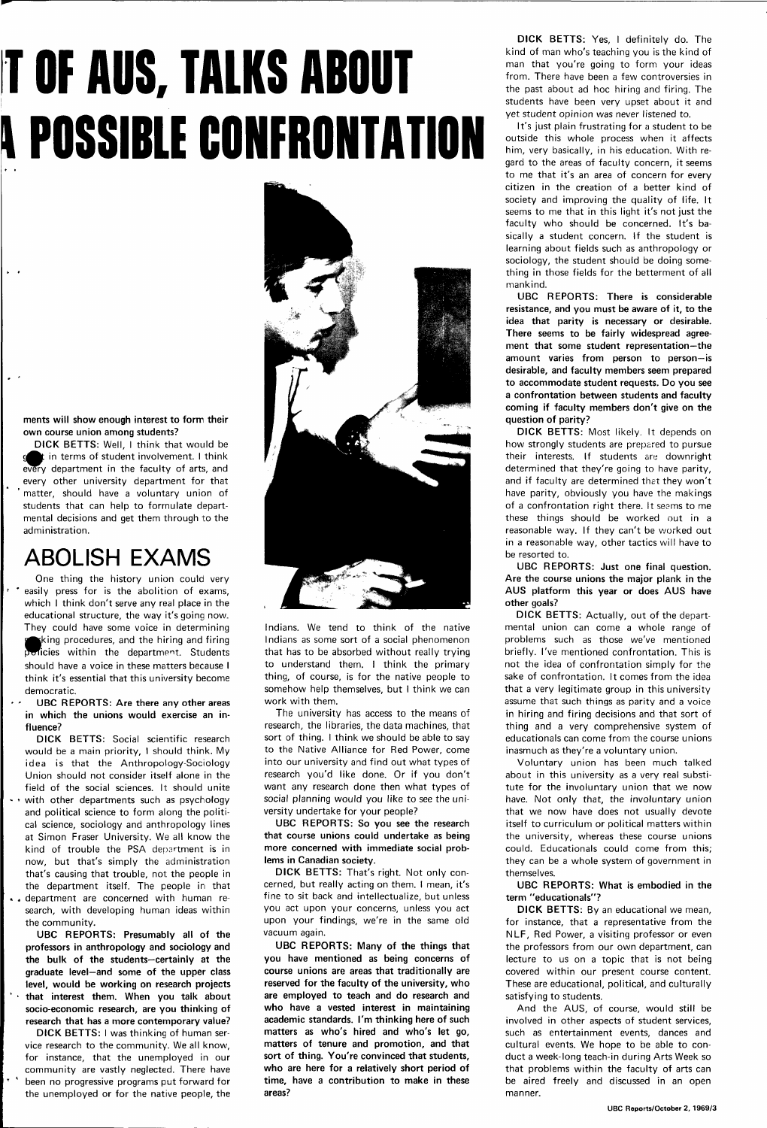# **T OF AUS, TALKS ADOUT \ POSSIDLE CONFRONTATION**

**ments will show enough interest to form their own course union among students?** 

**DICK BETTS:** Well, I think that would be in terms of student involvement. I think every department in the faculty of arts, and every other university department for that matter, should have a voluntary union of students that can help to formulate departmental decisions and get them through to the administration.

### **ABOLISH EXAMS**

One thing the history union could very easily press for is the abolition of exams, which I think don't serve any real place in the educational structure, the way it's going now. They could have some voice in determining king procedures, and the hiring and firing policies within the department. Students should have a voice in these matters because I think it's essential that this university become democratic.

**UBC REPORTS: Are there any other areas in which the unions would exercise an influence?** 

**DICK BETTS:** Social scientific research would be a main priority, I should think. My idea is that the Anthropology-Sociology Union should not consider itself alone in the field of the social sciences. It should unite  $\cdot$   $\cdot$  with other departments such as psychology and political science to form along the political science, sociology and anthropology lines at Simon Fraser University. We all know the kind of trouble the PSA department is in



now, but that's simply the administration that's causing that trouble, not the people in the department itself. The people in that • . department are concerned with human research, with developing human ideas within the community.

**UBC REPORTS: Presumably all of the professors in anthropology and sociology and the bulk of the students—certainly at the graduate level—and some of the upper class level, would be working on research projects ' • that interest them. When you talk about socio-economic research, are you thinking of research that has a more contemporary value?** 

**DICK BETTS:** I was thinking of human service research to the community. We all know, for instance, that the unemployed in our community are vastly neglected. There have been no progressive programs put forward for the unemployed or for the native people, the Indians. We tend to think of the native Indians as some sort of a social phenomenon that has to be absorbed without really trying to understand them. I think the primary thing, of course, is for the native people to somehow help themselves, but I think we can work with them.

The university has access to the means of research, the libraries, the data machines, that sort of thing. I think we should be able to say to the Native Alliance for Red Power, come into our university and find out what types of research you'd like done. Or if you don't want any research done then what types of social planning would you like to see the university undertake for your people?

**UBC REPORTS: So you see the research that course unions could undertake as being more concerned with immediate social prob-**

**lems in Canadian society.** 

**DICK BETTS:** That's right. Not only concerned, but really acting on them. I mean, it's fine to sit back and intellectualize, but unless you act upon your concerns, unless you act upon your findings, we're in the same old vacuum again.

**UBC REPORTS: Many of the things that you have mentioned as being concerns of course unions are areas that traditionally are reserved for the faculty of the university, who are employed to teach and do research and who have a vested interest in maintaining academic standards. I'm thinking here of such matters as who's hired and who's let go, matters of tenure and promotion, and that sort of thing. You're convinced that students, who are here for a relatively short period of time, have a contribution to make in these areas?** 

**DICK BETTS:** Yes, I definitely do. The kind of man who's teaching you is the kind of man that you're going to form your ideas from. There have been a few controversies in the past about ad hoc hiring and firing. The students have been very upset about it and yet student opinion was never listened to.

It's just plain frustrating for a student to be outside this whole process when it affects him, very basically, in his education. With regard to the areas of faculty concern, it seems to me that it's an area of concern for every citizen in the creation of a better kind of society and improving the quality of life. It seems to me that in this light it's not just the faculty who should be concerned. It's basically a student concern. If the student is learning about fields such as anthropology or sociology, the student should be doing something in those fields for the betterment of all mankind.

**UBC REPORTS: There is considerable resistance, and you must be aware of it, to the idea that parity is necessary or desirable. There seems to be fairly widespread agreement that some student representation—the amount varies from person to person—is desirable, and faculty members seem prepared to accommodate student requests. Do you see a confrontation between students and faculty coming if faculty members don't give on the question of parity?** 

**DICK BETTS:** Most likely. It depends on how strongly students are prepared to pursue their interests. If students are downright determined that they're going to have parity, and if faculty are determined thet they won't have parity, obviously you have the makings of a confrontation right there. It seems to me these things should be worked out in a reasonable way. If they can't be worked out in a reasonable way, other tactics will have to be resorted to.

**UBC REPORTS: Just one final question. Are the course unions the major plank in the AUS platform this year or does AUS have other goals?** 

**DICK BETTS:** Actually, out of the departmental union can come a whole range of problems such as those we've mentioned briefly. I've mentioned confrontation. This is not the idea of confrontation simply for the sake of confrontation. It comes from the idea that a very legitimate group in this university assume that such things as parity and a voice in hiring and firing decisions and that sort of thing and a very comprehensive system of educationals can come from the course unions inasmuch as they're a voluntary union.

Voluntary union has been much talked about in this university as a very real substitute for the involuntary union that we now have. Not only that, the involuntary union that we now have does not usually devote itself to curriculum or political matters within the university, whereas these course unions could. Educationals could come from this;

they can be a whole system of government in themselves.

**UBC REPORTS: What is embodied in the term "educationals"?** 

**DICK BETTS:** By an educational we mean, for instance, that a representative from the NLF, Red Power, a visiting professor or even the professors from our own department, can lecture to us on a topic that is not being covered within our present course content. These are educational, political, and culturally satisfying to students.

And the AUS, of course, would still be involved in other aspects of student services, such as entertainment events, dances and cultural events. We hope to be able to conduct a week-long teach-in during Arts Week so that problems within the faculty of arts can be aired freely and discussed in an open manner.